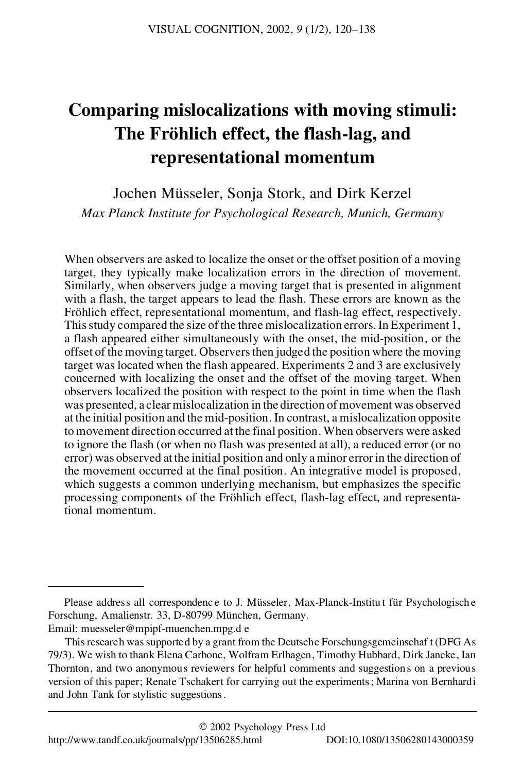# **Comparing mislocalizations with moving stimuli: The Fröhlich effect, the flash-lag, and representational momentum**

# Jochen Müsseler, Sonja Stork, and Dirk Kerzel

*Max Planck Institute for Psychological Research, Munich, Germany*

When observers are asked to localize the onset or the offset position of a moving target, they typically make localization errors in the direction of movement. Similarly, when observers judge a moving target that is presented in alignment with a flash, the target appears to lead the flash. These errors are known as the Fröhlich effect, representational momentum, and flash-lag effect, respectively. This study compared the size of the three mislocalization errors. In Experiment 1, a flash appeared either simultaneously with the onset, the mid-position, or the offset of the moving target. Observersthen judged the position where the moving target was located when the flash appeared. Experiments 2 and 3 are exclusively concerned with localizing the onset and the offset of the moving target. When observers localized the position with respect to the point in time when the flash was presented, a clear mislocalization in the direction of movement was observed at the initial position and the mid-position. In contrast, a mislocalization opposite to movement direction occurred at the final position. When observers were asked to ignore the flash (or when no flash was presented at all), a reduced error (or no error) was observed at the initial position and only aminor errorin the direction of the movement occurred at the final position. An integrative model is proposed, which suggests a common underlying mechanism, but emphasizes the specific processing components of the Fröhlich effect, flash-lag effect, and representational momentum.

Ó 2002 Psychology Press Ltd

http://www.tandf.co.uk/journals/pp/13506285.html DOI:10.1080/13506280143000359

Please address all correspondenc e to J. Müsseler, Max-Planck-Institu t für Psychologisch e Forschung, Amalienstr. 33, D-80799 München, Germany. Email: muesseler@mpipf-muenchen.mpg.d e

Thisresearch wassupported by a grant from the Deutsche Forschungsgemeinschaf t (DFG As 79/3). We wish to thank Elena Carbone, Wolfram Erlhagen, Timothy Hubbard, Dirk Jancke, Ian Thornton, and two anonymous reviewers for helpful comments and suggestions on a previous version of this paper; Renate Tschakert for carrying out the experiments; Marina von Bernhardi and John Tank for stylistic suggestions.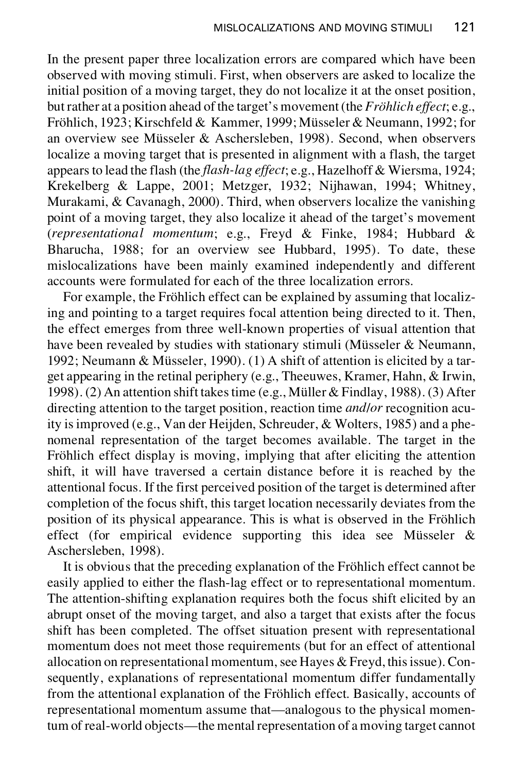In the present paper three localization errors are compared which have been observed with moving stimuli. First, when observers are asked to localize the initial position of a moving target, they do not localize it at the onset position, butrather at a position ahead of the target's movement(the *Fröhlich effect*; e.g., Fröhlich, 1923; Kirschfeld & Kammer, 1999; Müsseler & Neumann, 1992; for an overview see Müsseler & Aschersleben, 1998). Second, when observers localize a moving target that is presented in alignment with a flash, the target appearsto lead the flash (the *flash-lag effect*; e.g., Hazelhoff & Wiersma, 1924; Krekelberg & Lappe, 2001; Metzger, 1932; Nijhawan, 1994; Whitney, Murakami, & Cavanagh, 2000). Third, when observers localize the vanishing point of a moving target, they also localize it ahead of the target's movement (*representational momentum*; e.g., Freyd & Finke, 1984; Hubbard & Bharucha, 1988; for an overview see Hubbard, 1995). To date, these mislocalizations have been mainly examined independently and different accounts were formulated for each of the three localization errors.

For example, the Fröhlich effect can be explained by assuming that localizing and pointing to a target requires focal attention being directed to it. Then, the effect emerges from three well-known properties of visual attention that have been revealed by studies with stationary stimuli (Müsseler & Neumann, 1992; Neumann & Müsseler, 1990). (1) A shift of attention is elicited by a tar get appearing in the retinal periphery (e.g., Theeuwes, Kramer, Hahn, & Irwin, 1998). (2) An attention shift takestime (e.g., Müller& Findlay, 1988). (3) After directing attention to the target position, reaction time *and*/*or* recognition acuity isimproved (e.g., Van der Heijden, Schreuder, & Wolters, 1985) and a phe nomenal representation of the target becomes available. The target in the Fröhlich effect display is moving, implying that after eliciting the attention shift, it will have traversed a certain distance before it is reached by the attentional focus. If the first perceived position of the target is determined after completion of the focus shift, this target location necessarily deviates from the position of its physical appearance. This is what is observed in the Fröhlich effect (for empirical evidence supporting this idea see Müsseler & Aschersleben, 1998).

It is obvious that the preceding explanation of the Fröhlich effect cannot be easily applied to either the flash-lag effect or to representational momentum. The attention-shifting explanation requires both the focus shift elicited by an abrupt onset of the moving target, and also a target that exists after the focus shift has been completed. The offset situation present with representational momentum does not meet those requirements (but for an effect of attentional allocation on representational momentum, see Hayes  $&$  Freyd, this issue). Consequently, explanations of representational momentum differ fundamentally from the attentional explanation of the Fröhlich effect. Basically, accounts of representational momentum assume that—analogous to the physical momentum of real-world objects—the mental representation of a moving target cannot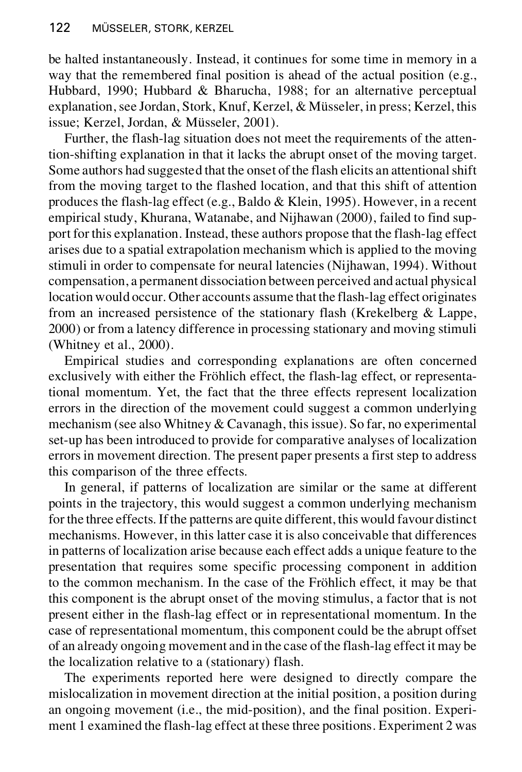be halted instantaneously. Instead, it continues for some time in memory in a way that the remembered final position is ahead of the actual position (e.g., Hubbard, 1990; Hubbard & Bharucha, 1988; for an alternative perceptual explanation, see Jordan, Stork, Knuf, Kerzel, & Müsseler, in press; Kerzel, this issue; Kerzel, Jordan, & Müsseler, 2001).

Further, the flash-lag situation does not meet the requirements of the attention-shifting explanation in that it lacks the abrupt onset of the moving target. Some authors had suggested that the onset of the flash elicits an attentionalshift from the moving target to the flashed location, and that this shift of attention produces the flash-lag effect (e.g., Baldo & Klein, 1995). However, in a recent empirical study, Khurana, Watanabe, and Nijhawan (2000), failed to find sup port for this explanation. Instead, these authors propose that the flash-lag effect arises due to a spatial extrapolation mechanism which is applied to the moving stimuli in order to compensate for neural latencies (Nijhawan, 1994). Without compensation, a permanent dissociation between perceived and actual physical location would occur. Other accounts assume that the flash-lag effect originates from an increased persistence of the stationary flash (Krekelberg & Lappe, 2000) or from a latency difference in processing stationary and moving stimuli (Whitney et al., 2000).

Empirical studies and corresponding explanations are often concerned exclusively with either the Fröhlich effect, the flash-lag effect, or representational momentum. Yet, the fact that the three effects represent localization errors in the direction of the movement could suggest a common underlying mechanism (see also Whitney  $&$  Cavanagh, this issue). So far, no experimental set-up has been introduced to provide for comparative analyses of localization errorsin movement direction. The present paper presents a first step to address this comparison of the three effects.

In general, if patterns of localization are similar or the same at different points in the trajectory, this would suggest a common underlying mechanism for the three effects. Ifthe patterns are quite different, this would favour distinct mechanisms. However, in this latter case it is also conceivable that differences in patterns of localization arise because each effect adds a unique feature to the presentation that requires some specific processing component in addition to the common mechanism. In the case of the Fröhlich effect, it may be that this component is the abrupt onset of the moving stimulus, a factor that is not present either in the flash-lag effect or in representational momentum. In the case of representational momentum, this component could be the abrupt offset of an already ongoing movement and in the case of the flash-lag effect it may be the localization relative to a (stationary) flash.

The experiments reported here were designed to directly compare the mislocalization in movement direction at the initial position, a position during an ongoing movement (i.e., the mid-position), and the final position. Experi ment 1 examined the flash-lag effect at these three positions. Experiment 2 was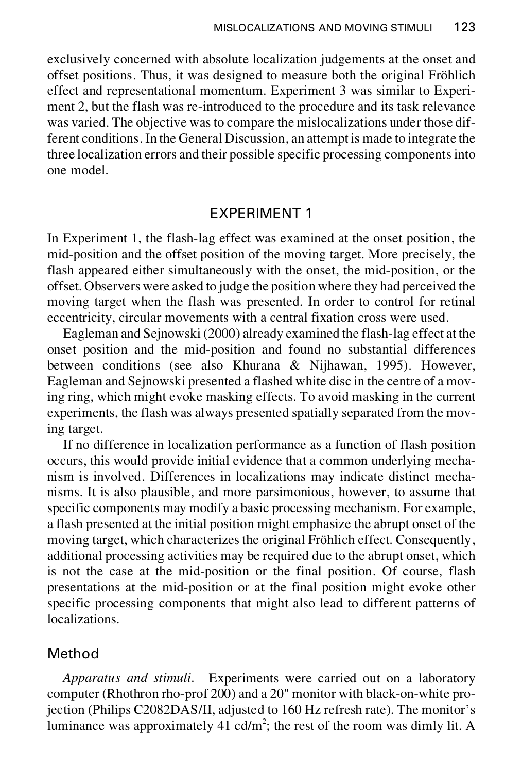exclusively concerned with absolute localization judgements at the onset and offset positions. Thus, it was designed to measure both the original Fröhlich effect and representational momentum. Experiment 3 was similar to Experi ment 2, but the flash was re-introduced to the procedure and its task relevance was varied. The objective wasto compare the mislocalizations under those different conditions. In the General Discussion, an attempt is made to integrate the three localization errors and their possible specific processing components into one model.

#### EXPERIMENT 1

In Experiment 1, the flash-lag effect was examined at the onset position, the mid-position and the offset position of the moving target. More precisely, the flash appeared either simultaneously with the onset, the mid-position, or the offset. Observers were asked to judge the position where they had perceived the moving target when the flash was presented. In order to control for retinal eccentricity, circular movements with a central fixation cross were used.

Eagleman and Sejnowski (2000) already examined the flash-lag effect at the onset position and the mid-position and found no substantial differences between conditions (see also Khurana & Nijhawan, 1995). However, Eagleman and Sejnowski presented a flashed white disc in the centre of a moving ring, which might evoke masking effects. To avoid masking in the current experiments, the flash was always presented spatially separated from the moving target.

If no difference in localization performance as a function of flash position occurs, this would provide initial evidence that a common underlying mecha nism is involved. Differences in localizations may indicate distinct mecha nisms. It is also plausible, and more parsimonious, however, to assume that specific components may modify a basic processing mechanism. For example, a flash presented at the initial position might emphasize the abrupt onset of the moving target, which characterizes the original Fröhlich effect. Consequently, additional processing activities may be required due to the abrupt onset, which is not the case at the mid-position or the final position. Of course, flash presentations at the mid-position or at the final position might evoke other specific processing components that might also lead to different patterns of localizations.

#### Method

*Apparatus and stimuli.* Experiments were carried out on a laboratory computer (Rhothron rho-prof 200) and a 20" monitor with black-on-white projection (Philips C2082DAS/II, adjusted to 160 Hz refresh rate). The monitor's luminance was approximately 41 cd/m 2 ; the rest of the room was dimly lit. A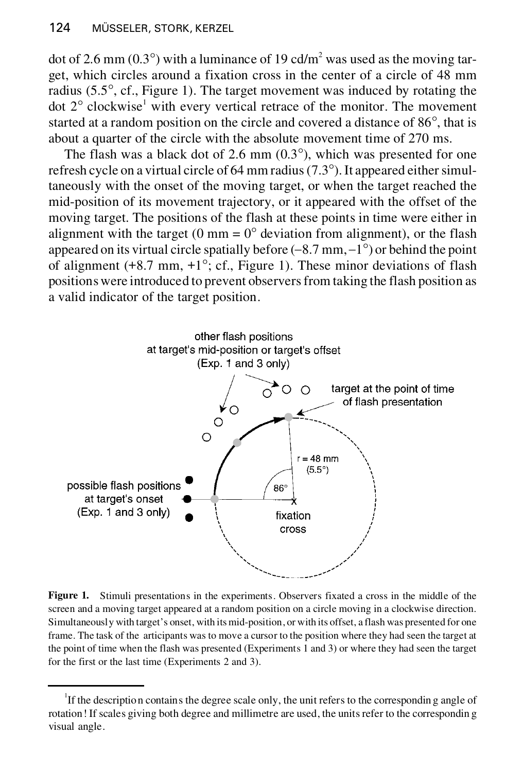dot of 2.6 mm (0.3°) with a luminance of 19 cd/m<sup>2</sup> was used as the moving target, which circles around a fixation cross in the center of a circle of 48 mm radius (5.5°, cf., Figure 1). The target movement was induced by rotating the dot  $2^{\circ}$  clockwise<sup>1</sup> with every vertical retrace of the monitor. The movement started at a random position on the circle and covered a distance of 86°, that is about a quarter of the circle with the absolute movement time of 270 ms.

The flash was a black dot of 2.6 mm  $(0.3^{\circ})$ , which was presented for one refresh cycle on a virtual circle of 64 mm radius  $(7.3^{\circ})$ . It appeared either simultaneously with the onset of the moving target, or when the target reached the mid-position of its movement trajectory, or it appeared with the offset of the moving target. The positions of the flash at these points in time were either in alignment with the target (0 mm =  $0^{\circ}$  deviation from alignment), or the flash appeared on its virtual circle spatially before  $(-8.7 \text{ mm}, -1^{\circ})$  or behind the point of alignment  $(+8.7 \text{ mm}, +1^\circ; \text{cf}, \text{Figure 1})$ . These minor deviations of flash positions were introduced to prevent observersfrom taking the flash position as a valid indicator of the target position.



**Figure 1.** Stimuli presentations in the experiments. Observers fixated a cross in the middle of the screen and a moving target appeared at a random position on a circle moving in a clockwise direction. Simultaneously with target's onset, with its mid-position, or with its offset, a flash was presented for one frame. The task of the articipants was to move a cursor to the position where they had seen the target at the point of time when the flash was presented (Experiments 1 and 3) or where they had seen the target for the first or the last time (Experiments 2 and 3).

<sup>1</sup>If the description contains the degree scale only, the unit refers to the correspondin g angle of rotation! If scales giving both degree and millimetre are used, the unitsrefer to the correspondin g visual angle.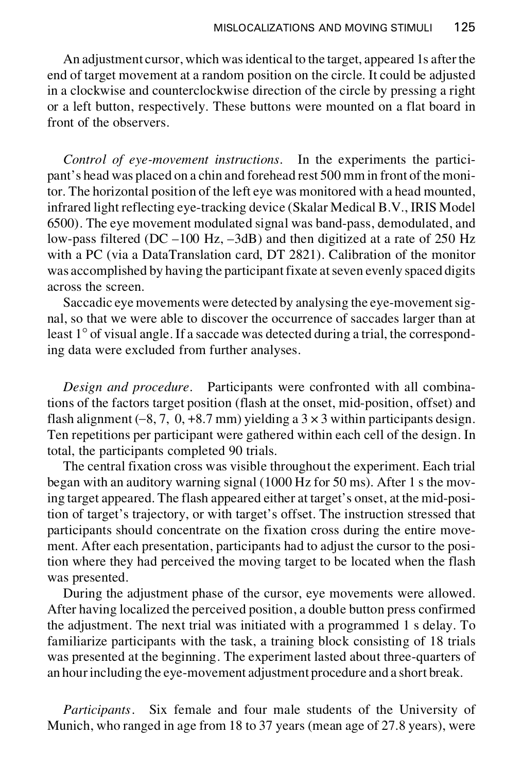An adjustment cursor, which wasidentical to the target, appeared 1s afterthe end of target movement at a random position on the circle. It could be adjusted in a clockwise and counterclockwise direction of the circle by pressing a right or a left button, respectively. These buttons were mounted on a flat board in front of the observers.

*Control of eye-movement instructions.* In the experiments the partici pant's head was placed on a chin and forehead rest 500 mm in front of the monitor. The horizontal position of the left eye was monitored with a head mounted, infrared light reflecting eye-tracking device (Skalar Medical B.V., IRIS Model 6500). The eye movement modulated signal was band-pass, demodulated, and low-pass filtered (DC –100 Hz, –3dB) and then digitized at a rate of 250 Hz with a PC (via a DataTranslation card, DT 2821). Calibration of the monitor was accomplished by having the participant fixate at seven evenly spaced digits across the screen.

Saccadic eye movements were detected by analysing the eye-movement signal, so that we were able to discover the occurrence of saccades larger than at least 1° of visual angle. If a saccade was detected during a trial, the corresponding data were excluded from further analyses.

*Design and procedure.* Participants were confronted with all combinations of the factors target position (flash at the onset, mid-position, offset) and flash alignment  $(-8, 7, 0, +8.7 \text{ mm})$  yielding a  $3 \times 3$  within participants design. Ten repetitions per participant were gathered within each cell of the design. In total, the participants completed 90 trials.

The central fixation cross was visible throughout the experiment. Each trial began with an auditory warning signal (1000 Hz for 50 ms). After 1 s the moving target appeared. The flash appeared either at target's onset, at the mid-position of target's trajectory, or with target's offset. The instruction stressed that participants should concentrate on the fixation cross during the entire move ment. After each presentation, participants had to adjust the cursor to the position where they had perceived the moving target to be located when the flash was presented.

During the adjustment phase of the cursor, eye movements were allowed. After having localized the perceived position, a double button press confirmed the adjustment. The next trial was initiated with a programmed 1 s delay. To familiarize participants with the task, a training block consisting of 18 trials was presented at the beginning. The experiment lasted about three-quarters of an hourincluding the eye-movement adjustment procedure and a short break.

*Participants*. Six female and four male students of the University of Munich, who ranged in age from 18 to 37 years (mean age of 27.8 years), were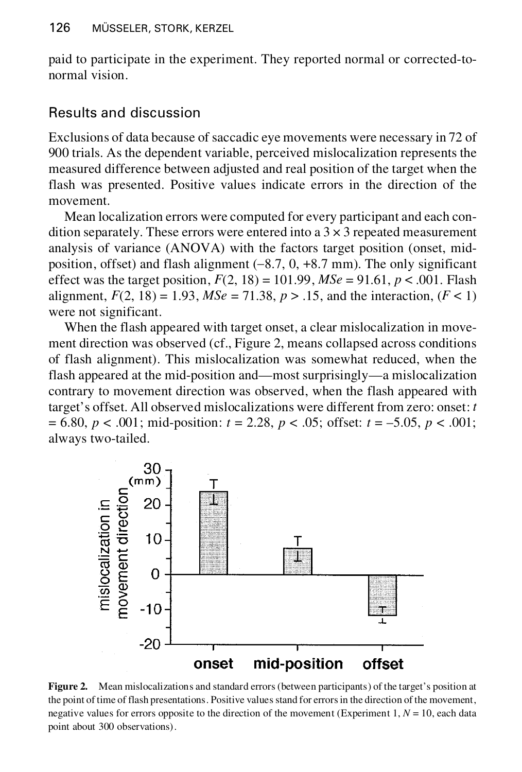paid to participate in the experiment. They reported normal or corrected-to normal vision.

# Results and discussion

Exclusions of data because of saccadic eye movements were necessary in 72 of 900 trials. As the dependent variable, perceived mislocalization represents the measured difference between adjusted and real position of the target when the flash was presented. Positive values indicate errors in the direction of the movement.

Mean localization errors were computed for every participant and each con dition separately. These errors were entered into a  $3 \times 3$  repeated measurement analysis of variance (ANOVA) with the factors target position (onset, mid position, offset) and flash alignment  $(-8.7, 0, +8.7 \text{ mm})$ . The only significant effect was the target position,  $F(2, 18) = 101.99$ ,  $MSe = 91.61$ ,  $p < .001$ . Flash alignment,  $F(2, 18) = 1.93$ ,  $MSe = 71.38$ ,  $p > .15$ , and the interaction,  $(F < 1)$ were not significant.

When the flash appeared with target onset, a clear mislocalization in move ment direction was observed (cf., Figure 2, means collapsed across conditions of flash alignment). This mislocalization was somewhat reduced, when the flash appeared at the mid-position and—most surprisingly—a mislocalization contrary to movement direction was observed, when the flash appeared with target's offset. All observed mislocalizations were different from zero: onset: *t* = 6.80, *p* < .001; mid-position: *t* = 2.28, *p* < .05; offset: *t* = –5.05, *p* < .001; always two-tailed.



**Figure 2.** Mean mislocalizations and standard errors (between participants) of the target's position at the point of time of flash presentations. Positive valuesstand for errorsin the direction of the movement, negative values for errors opposite to the direction of the movement (Experiment 1,  $N = 10$ , each data point about 300 observations).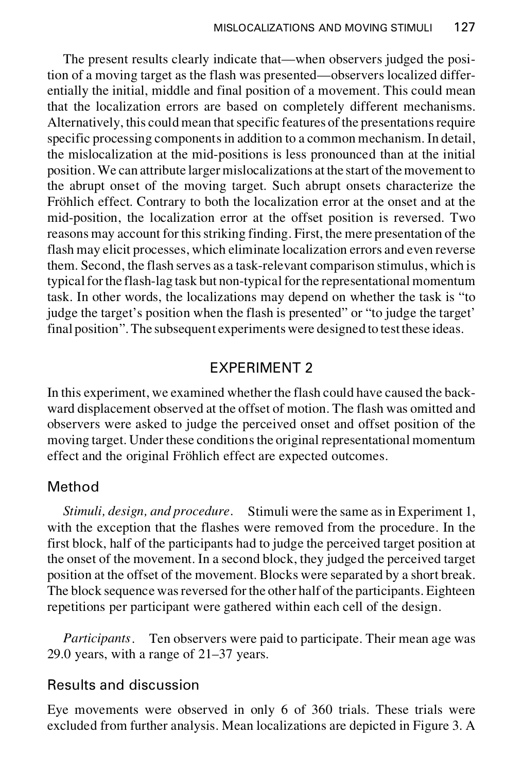The present results clearly indicate that—when observers judged the position of a moving target as the flash was presented—observers localized differ entially the initial, middle and final position of a movement. This could mean that the localization errors are based on completely different mechanisms. Alternatively, this could mean that specific features of the presentations require specific processing componentsin addition to a common mechanism. In detail, the mislocalization at the mid-positions is less pronounced than at the initial position. We can attribute larger mislocalizations at the start of the movement to the abrupt onset of the moving target. Such abrupt onsets characterize the Fröhlich effect. Contrary to both the localization error at the onset and at the mid-position, the localization error at the offset position is reversed. Two reasons may account for this striking finding. First, the mere presentation of the flash may elicit processes, which eliminate localization errors and even reverse them. Second, the flash serves as a task-relevant comparison stimulus, which is typicalforthe flash-lag task but non-typicalforthe representational momentum task. In other words, the localizations may depend on whether the task is "to judge the target's position when the flash is presented" or "to judge the target' final position".The subsequent experiments were designed to test these ideas.

#### EXPERIMENT 2

In this experiment, we examined whether the flash could have caused the back ward displacement observed at the offset of motion. The flash was omitted and observers were asked to judge the perceived onset and offset position of the moving target. Under these conditions the original representational momentum effect and the original Fröhlich effect are expected outcomes.

#### Method

*Stimuli, design, and procedure.* Stimuli were the same asin Experiment 1, with the exception that the flashes were removed from the procedure. In the first block, half of the participants had to judge the perceived target position at the onset of the movement. In a second block, they judged the perceived target position at the offset of the movement. Blocks were separated by a short break. The block sequence was reversed for the other half of the participants. Eighteen repetitions per participant were gathered within each cell of the design.

*Participants*. Ten observers were paid to participate. Their mean age was 29.0 years, with a range of 21–37 years.

#### Results and discussion

Eye movements were observed in only 6 of 360 trials. These trials were excluded from further analysis. Mean localizations are depicted in Figure 3. A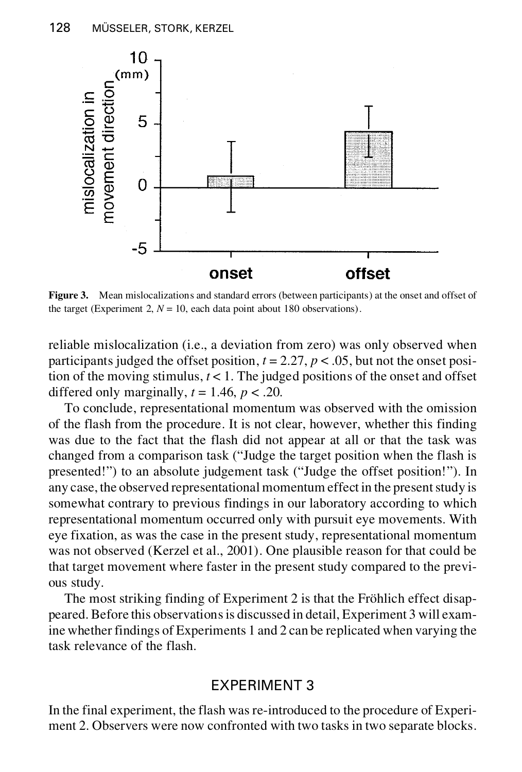

**Figure 3.** Mean mislocalizations and standard errors (between participants) at the onset and offset of the target (Experiment 2,  $N = 10$ , each data point about 180 observations).

reliable mislocalization (i.e., a deviation from zero) was only observed when participants judged the offset position,  $t = 2.27$ ,  $p < .05$ , but not the onset position of the moving stimulus,  $t < 1$ . The judged positions of the onset and offset differed only marginally,  $t = 1.46$ ,  $p < .20$ .

To conclude, representational momentum was observed with the omission of the flash from the procedure. It is not clear, however, whether this finding was due to the fact that the flash did not appear at all or that the task was changed from a comparison task ("Judge the target position when the flash is presented!") to an absolute judgement task ("Judge the offset position!"). In any case, the observed representational momentum effect in the present study is somewhat contrary to previous findings in our laboratory according to which representational momentum occurred only with pursuit eye movements. With eye fixation, as was the case in the present study, representational momentum was not observed (Kerzel et al., 2001). One plausible reason for that could be that target movement where faster in the present study compared to the previ ous study.

The most striking finding of Experiment 2 is that the Fröhlich effect disap peared. Before this observationsis discussed in detail, Experiment 3 will examine whether findings of Experiments 1 and 2 can be replicated when varying the task relevance of the flash.

#### EXPERIMENT 3

In the final experiment, the flash wasre-introduced to the procedure of Experi ment 2. Observers were now confronted with two tasks in two separate blocks.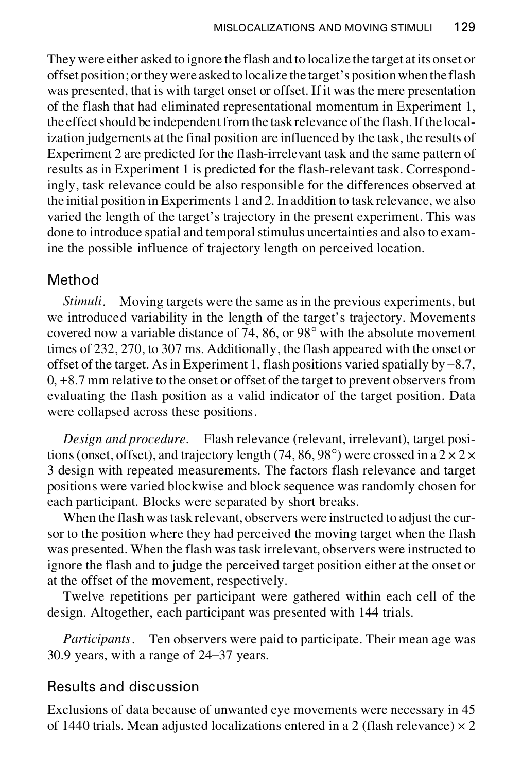They were either asked to ignore the flash and to localize the target atits onset or offset position;ortheywere asked to localize the target's positionwhen the flash was presented, that is with target onset or offset. If it wasthe mere presentation of the flash that had eliminated representational momentum in Experiment 1, the effect should be independent from the task relevance of the flash. If the localization judgements at the final position are influenced by the task, the results of Experiment 2 are predicted for the flash-irrelevant task and the same pattern of results as in Experiment 1 is predicted for the flash-relevant task. Correspondingly, task relevance could be also responsible for the differences observed at the initial position in Experiments 1 and 2. In addition to task relevance, we also varied the length of the target's trajectory in the present experiment. This was done to introduce spatial and temporal stimulus uncertainties and also to examine the possible influence of trajectory length on perceived location.

## Method

*Stimuli*. Moving targets were the same as in the previous experiments, but we introduced variability in the length of the target's trajectory. Movements covered now a variable distance of 74, 86, or 98° with the absolute movement times of 232, 270, to 307 ms. Additionally, the flash appeared with the onset or offset of the target. As in Experiment 1, flash positions varied spatially by  $-8.7$ , 0, +8.7 mm relative to the onset or offset of the target to prevent observersfrom evaluating the flash position as a valid indicator of the target position. Data were collapsed across these positions.

*Design and procedure.* Flash relevance (relevant, irrelevant), target positions (onset, offset), and trajectory length (74, 86, 98 $^{\circ}$ ) were crossed in a 2  $\times$  2  $\times$ 3 design with repeated measurements. The factors flash relevance and target positions were varied blockwise and block sequence was randomly chosen for each participant. Blocks were separated by short breaks.

When the flash was task relevant, observers were instructed to adjust the cursor to the position where they had perceived the moving target when the flash was presented. When the flash wastask irrelevant, observers were instructed to ignore the flash and to judge the perceived target position either at the onset or at the offset of the movement, respectively.

Twelve repetitions per participant were gathered within each cell of the design. Altogether, each participant was presented with 144 trials.

*Participants*. Ten observers were paid to participate. Their mean age was 30.9 years, with a range of 24–37 years.

## Results and discussion

Exclusions of data because of unwanted eye movements were necessary in 45 of 1440 trials. Mean adjusted localizations entered in a 2 (flash relevance)  $\times$  2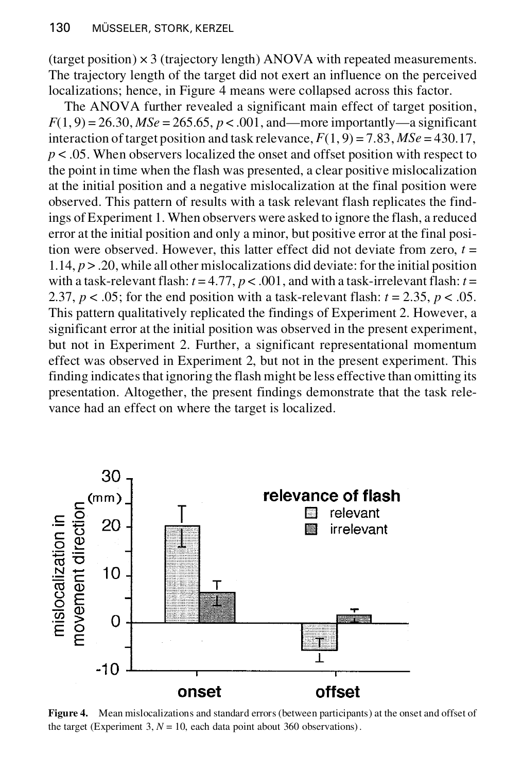(target position)  $\times$  3 (trajectory length) ANOVA with repeated measurements. The trajectory length of the target did not exert an influence on the perceived localizations; hence, in Figure 4 means were collapsed across this factor.

The ANOVA further revealed a significant main effect of target position,  $F(1, 9) = 26.30$ ,  $MSe = 265.65$ ,  $p < .001$ , and—more importantly—a significant interaction of target position and task relevance,  $F(1, 9) = 7.83$ ,  $MSe = 430.17$ , *p* < .05. When observers localized the onset and offset position with respect to the point in time when the flash was presented, a clear positive mislocalization at the initial position and a negative mislocalization at the final position were observed. This pattern of results with a task relevant flash replicates the findings of Experiment 1. When observers were asked to ignore the flash, a reduced error at the initial position and only a minor, but positive error at the final position were observed. However, this latter effect did not deviate from zero,  $t =$ 1.14,  $p > 0.20$ , while all other mislocalizations did deviate: for the initial position with a task-relevant flash:  $t = 4.77$ ,  $p < .001$ , and with a task-irrelevant flash:  $t =$ 2.37,  $p < .05$ ; for the end position with a task-relevant flash:  $t = 2.35$ ,  $p < .05$ . This pattern qualitatively replicated the findings of Experiment 2. However, a significant error at the initial position was observed in the present experiment, but not in Experiment 2. Further, a significant representational momentum effect was observed in Experiment 2, but not in the present experiment. This finding indicates that ignoring the flash might be less effective than omitting its presentation. Altogether, the present findings demonstrate that the task rele vance had an effect on where the target is localized.



**Figure 4.** Mean mislocalizations and standard errors(between participants) at the onset and offset of the target (Experiment 3,  $N = 10$ , each data point about 360 observations).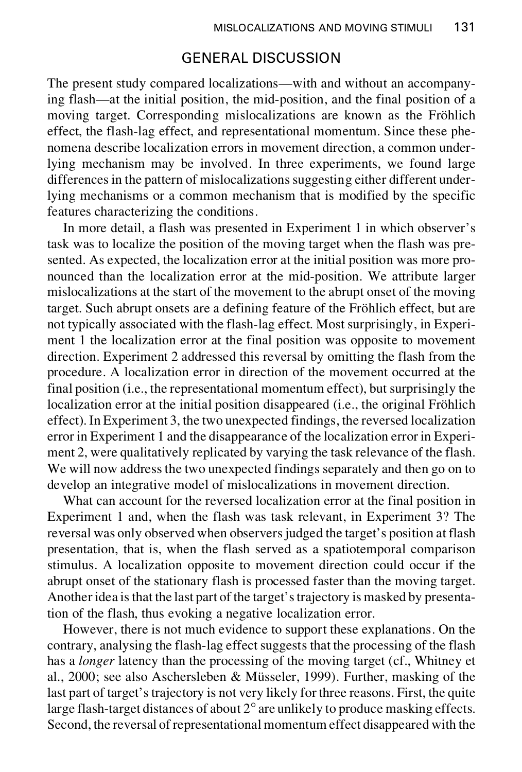#### GENERAL DISCUSSION

The present study compared localizations—with and without an accompanying flash—at the initial position, the mid-position, and the final position of a moving target. Corresponding mislocalizations are known as the Fröhlich effect, the flash-lag effect, and representational momentum. Since these phe nomena describe localization errors in movement direction, a common underlying mechanism may be involved. In three experiments, we found large differences in the pattern of mislocalizations suggesting either different underlying mechanisms or a common mechanism that is modified by the specific features characterizing the conditions.

In more detail, a flash was presented in Experiment 1 in which observer's task was to localize the position of the moving target when the flash was pre sented. As expected, the localization error at the initial position was more pro nounced than the localization error at the mid-position. We attribute larger mislocalizations at the start of the movement to the abrupt onset of the moving target. Such abrupt onsets are a defining feature of the Fröhlich effect, but are not typically associated with the flash-lag effect. Most surprisingly, in Experi ment 1 the localization error at the final position was opposite to movement direction. Experiment 2 addressed this reversal by omitting the flash from the procedure. A localization error in direction of the movement occurred at the final position (i.e., the representational momentum effect), but surprisingly the localization error at the initial position disappeared (i.e., the original Fröhlich effect). In Experiment 3, the two unexpected findings, the reversed localization error in Experiment 1 and the disappearance of the localization error in Experi ment 2, were qualitatively replicated by varying the task relevance of the flash. We will now address the two unexpected findings separately and then go on to develop an integrative model of mislocalizations in movement direction.

What can account for the reversed localization error at the final position in Experiment 1 and, when the flash was task relevant, in Experiment 3? The reversal was only observed when observers judged the target's position at flash presentation, that is, when the flash served as a spatiotemporal comparison stimulus. A localization opposite to movement direction could occur if the abrupt onset of the stationary flash is processed faster than the moving target. Another idea is that the last part of the target's trajectory is masked by presentation of the flash, thus evoking a negative localization error.

However, there is not much evidence to support these explanations. On the contrary, analysing the flash-lag effect suggests that the processing of the flash has a *longer* latency than the processing of the moving target (cf., Whitney et al., 2000; see also Aschersleben & Müsseler, 1999). Further, masking of the last part of target's trajectory is not very likely for three reasons. First, the quite large flash-target distances of about  $2^{\circ}$  are unlikely to produce masking effects. Second, the reversal of representational momentum effect disappeared with the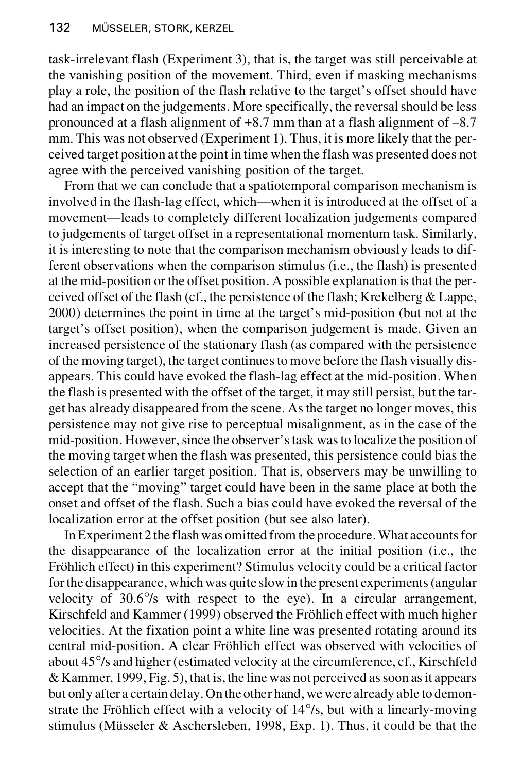task-irrelevant flash (Experiment 3), that is, the target was still perceivable at the vanishing position of the movement. Third, even if masking mechanisms play a role, the position of the flash relative to the target's offset should have had an impact on the judgements. More specifically, the reversal should be less pronounced at a flash alignment of  $+8.7$  mm than at a flash alignment of  $-8.7$ mm. This was not observed (Experiment 1). Thus, it is more likely that the per ceived target position at the point in time when the flash was presented does not agree with the perceived vanishing position of the target.

From that we can conclude that a spatiotemporal comparison mechanism is involved in the flash-lag effect, which—when it is introduced at the offset of a movement—leads to completely different localization judgements compared to judgements of target offset in a representational momentum task. Similarly, it is interesting to note that the comparison mechanism obviously leads to different observations when the comparison stimulus (i.e., the flash) is presented at the mid-position or the offset position. A possible explanation is that the perceived offset of the flash (cf., the persistence of the flash; Krekelberg & Lappe, 2000) determines the point in time at the target's mid-position (but not at the target's offset position), when the comparison judgement is made. Given an increased persistence of the stationary flash (as compared with the persistence of the moving target), the target continuesto move before the flash visually dis appears. This could have evoked the flash-lag effect at the mid-position. When the flash is presented with the offset of the target, it may still persist, but the tar get has already disappeared from the scene. Asthe target no longer moves, this persistence may not give rise to perceptual misalignment, as in the case of the mid-position. However, since the observer's task was to localize the position of the moving target when the flash was presented, this persistence could bias the selection of an earlier target position. That is, observers may be unwilling to accept that the "moving" target could have been in the same place at both the onset and offset of the flash. Such a bias could have evoked the reversal of the localization error at the offset position (but see also later).

In Experiment 2 the flash was omitted from the procedure. What accounts for the disappearance of the localization error at the initial position (i.e., the Fröhlich effect) in this experiment? Stimulus velocity could be a critical factor forthe disappearance, which was quite slow in the present experiments(angular velocity of 30.6°/s with respect to the eye). In a circular arrangement, Kirschfeld and Kammer (1999) observed the Fröhlich effect with much higher velocities. At the fixation point a white line was presented rotating around its central mid-position. A clear Fröhlich effect was observed with velocities of about 45°/s and higher (estimated velocity at the circumference, cf., Kirschfeld  $&$  Kammer, 1999, Fig. 5), that is, the line was not perceived as soon as it appears but only after a certain delay. On the other hand, we were already able to demon strate the Fröhlich effect with a velocity of 14°/s, but with a linearly-moving stimulus (Müsseler & Aschersleben, 1998, Exp. 1). Thus, it could be that the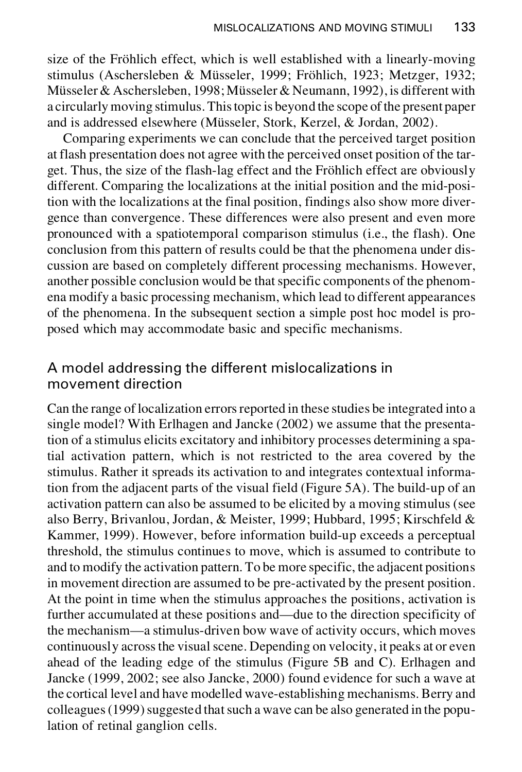size of the Fröhlich effect, which is well established with a linearly-moving stimulus (Aschersleben & Müsseler, 1999; Fröhlich, 1923; Metzger, 1932; Müsseler& Aschersleben, 1998;Müsseler&Neumann, 1992), is different with a circularlymoving stimulus.Thistopic is beyond the scope of the present paper and is addressed elsewhere (Müsseler, Stork, Kerzel, & Jordan, 2002).

Comparing experiments we can conclude that the perceived target position at flash presentation does not agree with the perceived onset position of the tar get. Thus, the size of the flash-lag effect and the Fröhlich effect are obviously different. Comparing the localizations at the initial position and the mid-position with the localizations at the final position, findings also show more diver gence than convergence. These differences were also present and even more pronounced with a spatiotemporal comparison stimulus (i.e., the flash). One conclusion from this pattern of results could be that the phenomena under dis cussion are based on completely different processing mechanisms. However, another possible conclusion would be that specific components of the phenomena modify a basic processing mechanism, which lead to different appearances of the phenomena. In the subsequent section a simple post hoc model is pro posed which may accommodate basic and specific mechanisms.

## A model addressing the different mislocalizations in movement direction

Can the range of localization errorsreported in these studies be integrated into a single model? With Erlhagen and Jancke (2002) we assume that the presentation of a stimulus elicits excitatory and inhibitory processes determining a spatial activation pattern, which is not restricted to the area covered by the stimulus. Rather it spreads its activation to and integrates contextual information from the adjacent parts of the visual field (Figure 5A). The build-up of an activation pattern can also be assumed to be elicited by a moving stimulus (see also Berry, Brivanlou, Jordan, & Meister, 1999; Hubbard, 1995; Kirschfeld & Kammer, 1999). However, before information build-up exceeds a perceptual threshold, the stimulus continues to move, which is assumed to contribute to and to modify the activation pattern. To be more specific, the adjacent positions in movement direction are assumed to be pre-activated by the present position. At the point in time when the stimulus approaches the positions, activation is further accumulated at these positions and—due to the direction specificity of the mechanism—a stimulus-driven bow wave of activity occurs, which moves continuously across the visual scene. Depending on velocity, it peaks at or even ahead of the leading edge of the stimulus (Figure 5B and C). Erlhagen and Jancke (1999, 2002; see also Jancke, 2000) found evidence for such a wave at the cortical level and have modelled wave-establishing mechanisms. Berry and colleagues (1999) suggested that such a wave can be also generated in the population of retinal ganglion cells.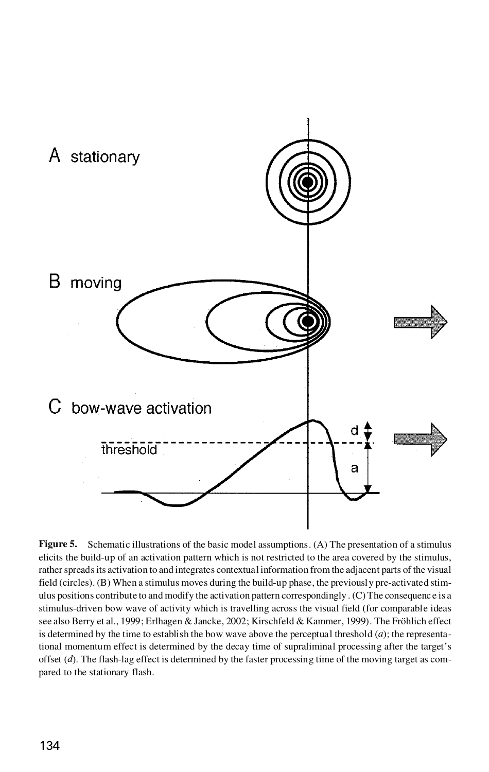

**Figure 5.** Schematic illustrations of the basic model assumptions. (A) The presentation of a stimulus elicits the build-up of an activation pattern which is not restricted to the area covered by the stimulus, rather spreads its activation to and integrates contextual information from the adjacent parts of the visual field (circles). (B) When a stimulus moves during the build-up phase, the previously pre-activated stim ulus positions contribute to and modify the activation pattern correspondingly . (C)The consequenc e is a stimulus-driven bow wave of activity which is travelling across the visual field (for comparable ideas see also Berry et al., 1999; Erlhagen & Jancke, 2002; Kirschfeld & Kammer, 1999). The Fröhlich effect is determined by the time to establish the bow wave above the perceptual threshold (*a*); the representational momentum effect is determined by the decay time of supraliminal processing after the target's offset (*d*). The flash-lag effect is determined by the faster processing time of the moving target as com pared to the stationary flash.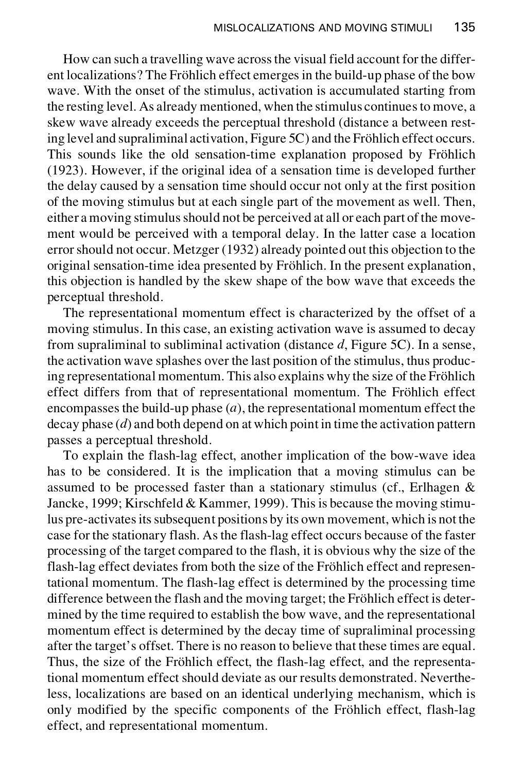How can such a travelling wave across the visual field account for the different localizations? The Fröhlich effect emerges in the build-up phase of the bow wave. With the onset of the stimulus, activation is accumulated starting from the resting level. As already mentioned, when the stimulus continues to move, a skew wave already exceeds the perceptual threshold (distance a between resting level and supraliminal activation, Figure 5C) and the Fröhlich effect occurs. This sounds like the old sensation-time explanation proposed by Fröhlich (1923). However, if the original idea of a sensation time is developed further the delay caused by a sensation time should occur not only at the first position of the moving stimulus but at each single part of the movement as well. Then, either a moving stimulus should not be perceived at all or each part of the movement would be perceived with a temporal delay. In the latter case a location errorshould not occur. Metzger (1932) already pointed out this objection to the original sensation-time idea presented by Fröhlich. In the present explanation, this objection is handled by the skew shape of the bow wave that exceeds the perceptual threshold.

The representational momentum effect is characterized by the offset of a moving stimulus. In this case, an existing activation wave is assumed to decay from supraliminal to subliminal activation (distance *d*, Figure 5C). In a sense, the activation wave splashes over the last position of the stimulus, thus producing representational momentum. This also explains why the size of the Fröhlich effect differs from that of representational momentum. The Fröhlich effect encompasses the build-up phase  $(a)$ , the representational momentum effect the decay phase (*d*) and both depend on at which point in time the activation pattern passes a perceptual threshold.

To explain the flash-lag effect, another implication of the bow-wave idea has to be considered. It is the implication that a moving stimulus can be assumed to be processed faster than a stationary stimulus (cf., Erlhagen & Jancke, 1999; Kirschfeld & Kammer, 1999). This is because the moving stimulus pre-activates its subsequent positions by its own movement, which is not the case for the stationary flash. Asthe flash-lag effect occurs because of the faster processing of the target compared to the flash, it is obvious why the size of the flash-lag effect deviates from both the size of the Fröhlich effect and representational momentum. The flash-lag effect is determined by the processing time difference between the flash and the moving target; the Fröhlich effect is deter mined by the time required to establish the bow wave, and the representational momentum effect is determined by the decay time of supraliminal processing after the target's offset. There is no reason to believe that these times are equal. Thus, the size of the Fröhlich effect, the flash-lag effect, and the representational momentum effect should deviate as our results demonstrated. Nevertheless, localizations are based on an identical underlying mechanism, which is only modified by the specific components of the Fröhlich effect, flash-lag effect, and representational momentum.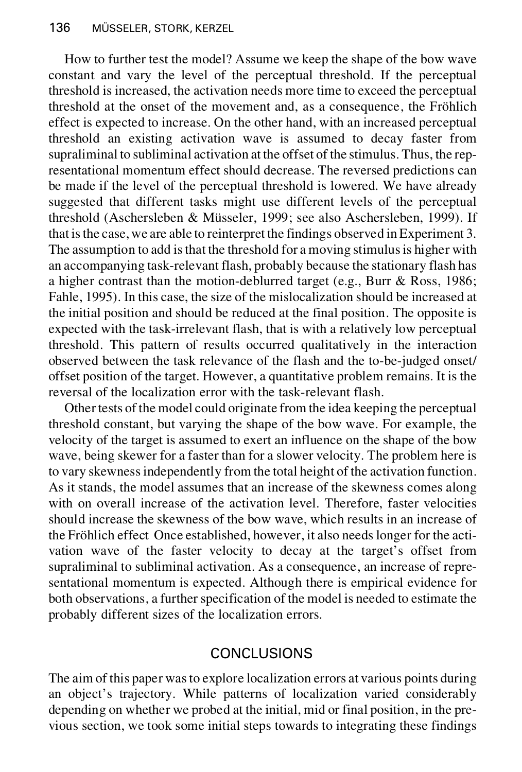How to further test the model? Assume we keep the shape of the bow wave constant and vary the level of the perceptual threshold. If the perceptual threshold is increased, the activation needs more time to exceed the perceptual threshold at the onset of the movement and, as a consequence, the Fröhlich effect is expected to increase. On the other hand, with an increased perceptual threshold an existing activation wave is assumed to decay faster from supraliminal to subliminal activation at the offset of the stimulus. Thus, the representational momentum effect should decrease. The reversed predictions can be made if the level of the perceptual threshold is lowered. We have already suggested that different tasks might use different levels of the perceptual threshold (Aschersleben & Müsseler, 1999; see also Aschersleben, 1999). If that is the case, we are able to reinterpret the findings observed in Experiment 3. The assumption to add is that the threshold for a moving stimulus is higher with an accompanying task-relevant flash, probably because the stationary flash has a higher contrast than the motion-deblurred target (e.g., Burr & Ross, 1986; Fahle, 1995). In this case, the size of the mislocalization should be increased at the initial position and should be reduced at the final position. The opposite is expected with the task-irrelevant flash, that is with a relatively low perceptual threshold. This pattern of results occurred qualitatively in the interaction observed between the task relevance of the flash and the to-be-judged onset/ offset position of the target. However, a quantitative problem remains. It is the reversal of the localization error with the task-relevant flash.

Other tests of the model could originate from the idea keeping the perceptual threshold constant, but varying the shape of the bow wave. For example, the velocity of the target is assumed to exert an influence on the shape of the bow wave, being skewer for a faster than for a slower velocity. The problem here is to vary skewnessindependently from the total height of the activation function. As it stands, the model assumes that an increase of the skewness comes along with on overall increase of the activation level. Therefore, faster velocities should increase the skewness of the bow wave, which results in an increase of the Fröhlich effect Once established, however, it also needslonger for the acti vation wave of the faster velocity to decay at the target's offset from supraliminal to subliminal activation. As a consequence, an increase of representational momentum is expected. Although there is empirical evidence for both observations, a further specification of the model is needed to estimate the probably different sizes of the localization errors.

# CONCLUSIONS

The aim of this paper wasto explore localization errors at various points during an object's trajectory. While patterns of localization varied considerably depending on whether we probed at the initial, mid or final position, in the pre vious section, we took some initial steps towards to integrating these findings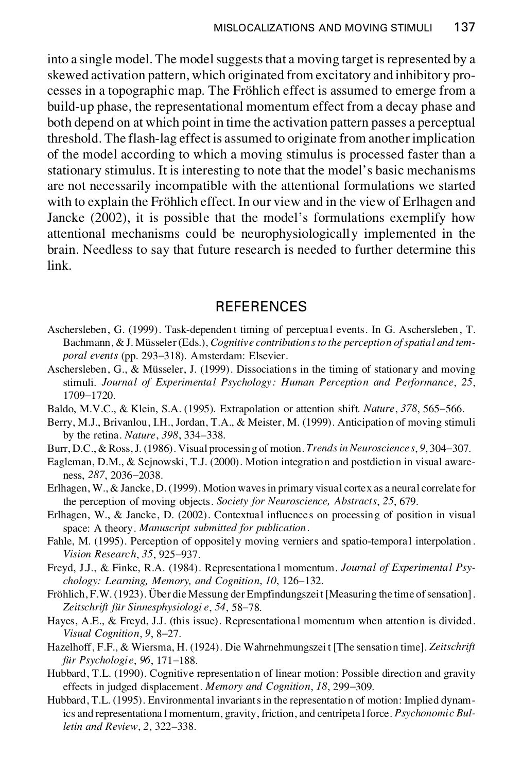into a single model. The model suggests that a moving target is represented by a skewed activation pattern, which originated from excitatory and inhibitory pro cesses in a topographic map. The Fröhlich effect is assumed to emerge from a build-up phase, the representational momentum effect from a decay phase and both depend on at which point in time the activation pattern passes a perceptual threshold. The flash-lag effect is assumed to originate from another implication of the model according to which a moving stimulus is processed faster than a stationary stimulus. It is interesting to note that the model's basic mechanisms are not necessarily incompatible with the attentional formulations we started with to explain the Fröhlich effect. In our view and in the view of Erlhagen and Jancke (2002), it is possible that the model's formulations exemplify how attentional mechanisms could be neurophysiologically implemented in the brain. Needless to say that future research is needed to further determine this link.

## **REFERENCES**

- Aschersleben, G. (1999). Task-dependen t timing of perceptua l events. In G. Aschersleben , T. Bachmann, & J. Müsseler(Eds.), *Cognitive contributionsto the perception ofspatial and tem poral events* (pp. 293–318). Amsterdam: Elsevier.
- Aschersleben, G., & Müsseler, J. (1999). Dissociations in the timing of stationary and moving stimuli. *Journal of Experimental Psychology: Human Perception and Performance*, *25*, 1709–1720.
- Baldo, M.V.C., & Klein, S.A. (1995). Extrapolation or attention shift*. Nature*, *378*, 565–566.
- Berry, M.J., Brivanlou, I.H., Jordan, T.A., & Meister, M. (1999). Anticipation of moving stimuli by the retina. *Nature*, *398*, 334–338.
- Burr, D.C., & Ross, J. (1986). Visual processing of motion. *Trends in Neurosciences*, 9, 304–307.
- Eagleman, D.M., & Sejnowski, T.J. (2000). Motion integration and postdiction in visual aware ness, *287*, 2036–2038.
- Erlhagen, W.,& Jancke, D.(1999). Motion wavesin primary visual cortex as a neural correlate for the perception of moving objects. *Society for Neuroscience, Abstracts*, *25*, 679.
- Erlhagen, W., & Jancke, D. (2002). Contextual influences on processing of position in visual space: A theory. *Manuscript submitted for publication .*
- Fahle, M. (1995). Perception of oppositely moving verniers and spatio-temporal interpolation. *Vision Research*, *35*, 925–937.
- Freyd, J.J., & Finke, R.A. (1984). Representationa l momentum. *Journal of Experimental Psy chology: Learning, Memory, and Cognition*, *10*, 126–132.
- Fröhlich, F.W.(1923). Über die Messung derEmpfindungszeit [Measuring the time ofsensation]. *Zeitschrift für Sinnesphysiologi e*, *54*, 58–78.
- Hayes, A.E., & Freyd, J.J. (this issue). Representationa l momentum when attention is divided. *Visual Cognition*, *9*, 8–27.
- Hazelhoff, F.F., & Wiersma, H. (1924). Die Wahrnehmungszei t [The sensation time]. *Zeitschrift für Psychologie*, *96*, 171–188.
- Hubbard, T.L. (1990). Cognitive representation of linear motion: Possible direction and gravity effects in judged displacement. *Memory and Cognition*, *18*, 299–309.
- Hubbard, T.L. (1995). Environmental invariants in the representation of motion: Implied dynamics and representationa lmomentum, gravity, friction, and centripeta lforce. *Psychonomic Bulletin and Review*, *2*, 322–338.